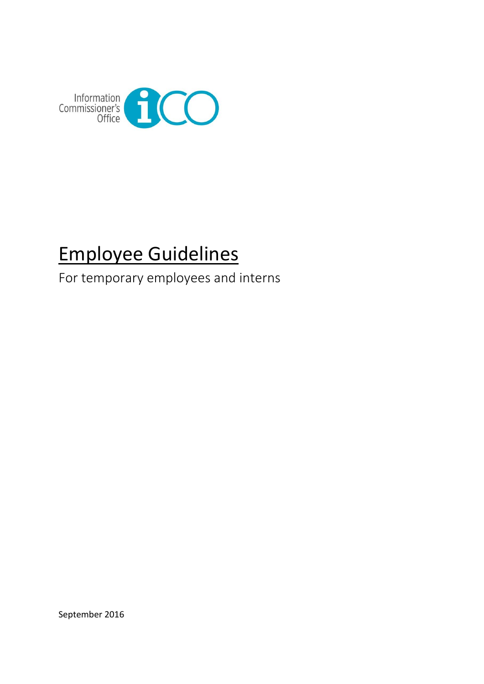

# Employee Guidelines

For temporary employees and interns

September 2016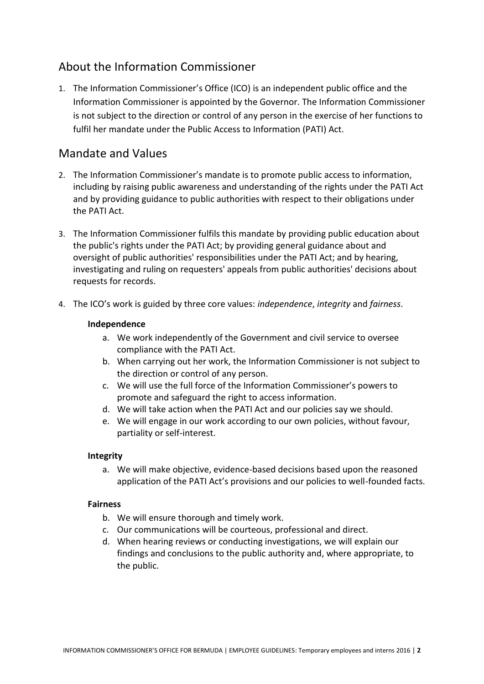# About the Information Commissioner

1. The Information Commissioner's Office (ICO) is an independent public office and the Information Commissioner is appointed by the Governor. The Information Commissioner is not subject to the direction or control of any person in the exercise of her functions to fulfil her mandate under the Public Access to Information (PATI) Act.

## Mandate and Values

- 2. The Information Commissioner's mandate is to promote public access to information, including by raising public awareness and understanding of the rights under the PATI Act and by providing guidance to public authorities with respect to their obligations under the PATI Act.
- 3. The Information Commissioner fulfils this mandate by providing public education about the public's rights under the PATI Act; by providing general guidance about and oversight of public authorities' responsibilities under the PATI Act; and by hearing, investigating and ruling on requesters' appeals from public authorities' decisions about requests for records.
- 4. The ICO's work is guided by three core values: *independence*, *integrity* and *fairness*.

#### **Independence**

- a. We work independently of the Government and civil service to oversee compliance with the PATI Act.
- b. When carrying out her work, the Information Commissioner is not subject to the direction or control of any person.
- c. We will use the full force of the Information Commissioner's powers to promote and safeguard the right to access information.
- d. We will take action when the PATI Act and our policies say we should.
- e. We will engage in our work according to our own policies, without favour, partiality or self-interest.

#### **Integrity**

a. We will make objective, evidence-based decisions based upon the reasoned application of the PATI Act's provisions and our policies to well-founded facts.

#### **Fairness**

- b. We will ensure thorough and timely work.
- c. Our communications will be courteous, professional and direct.
- d. When hearing reviews or conducting investigations, we will explain our findings and conclusions to the public authority and, where appropriate, to the public.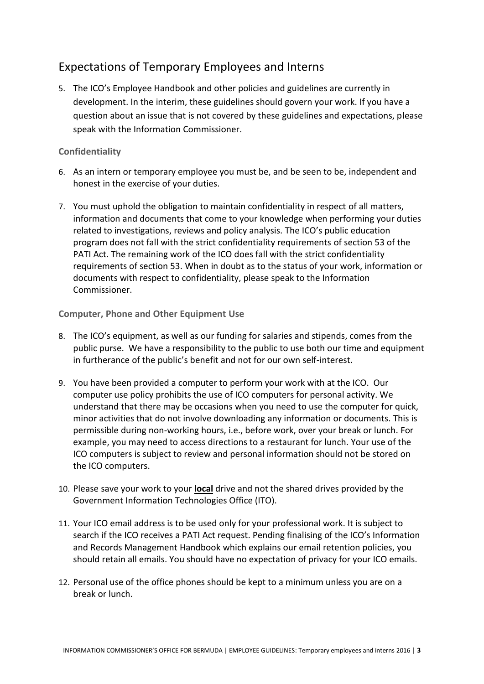# Expectations of Temporary Employees and Interns

5. The ICO's Employee Handbook and other policies and guidelines are currently in development. In the interim, these guidelines should govern your work. If you have a question about an issue that is not covered by these guidelines and expectations, please speak with the Information Commissioner.

#### **Confidentiality**

- 6. As an intern or temporary employee you must be, and be seen to be, independent and honest in the exercise of your duties.
- 7. You must uphold the obligation to maintain confidentiality in respect of all matters, information and documents that come to your knowledge when performing your duties related to investigations, reviews and policy analysis. The ICO's public education program does not fall with the strict confidentiality requirements of section 53 of the PATI Act. The remaining work of the ICO does fall with the strict confidentiality requirements of section 53. When in doubt as to the status of your work, information or documents with respect to confidentiality, please speak to the Information Commissioner.

#### **Computer, Phone and Other Equipment Use**

- 8. The ICO's equipment, as well as our funding for salaries and stipends, comes from the public purse. We have a responsibility to the public to use both our time and equipment in furtherance of the public's benefit and not for our own self-interest.
- 9. You have been provided a computer to perform your work with at the ICO. Our computer use policy prohibits the use of ICO computers for personal activity. We understand that there may be occasions when you need to use the computer for quick, minor activities that do not involve downloading any information or documents. This is permissible during non-working hours, i.e., before work, over your break or lunch. For example, you may need to access directions to a restaurant for lunch. Your use of the ICO computers is subject to review and personal information should not be stored on the ICO computers.
- 10. Please save your work to your **local** drive and not the shared drives provided by the Government Information Technologies Office (ITO).
- 11. Your ICO email address is to be used only for your professional work. It is subject to search if the ICO receives a PATI Act request. Pending finalising of the ICO's Information and Records Management Handbook which explains our email retention policies, you should retain all emails. You should have no expectation of privacy for your ICO emails.
- 12. Personal use of the office phones should be kept to a minimum unless you are on a break or lunch.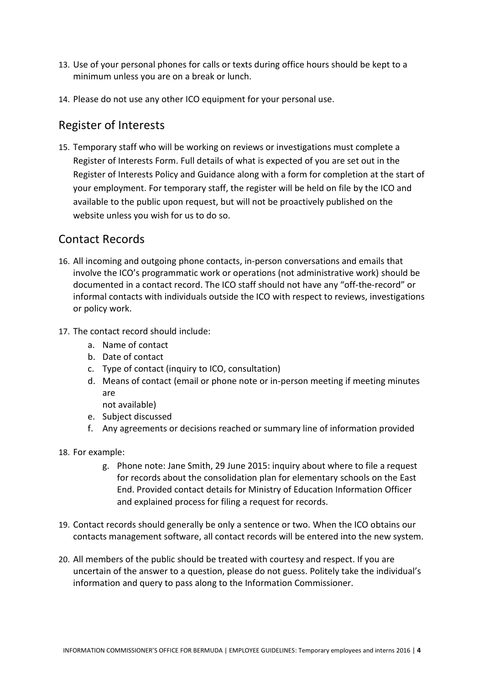- 13. Use of your personal phones for calls or texts during office hours should be kept to a minimum unless you are on a break or lunch.
- 14. Please do not use any other ICO equipment for your personal use.

## Register of Interests

15. Temporary staff who will be working on reviews or investigations must complete a Register of Interests Form. Full details of what is expected of you are set out in the Register of Interests Policy and Guidance along with a form for completion at the start of your employment. For temporary staff, the register will be held on file by the ICO and available to the public upon request, but will not be proactively published on the website unless you wish for us to do so.

## Contact Records

- 16. All incoming and outgoing phone contacts, in-person conversations and emails that involve the ICO's programmatic work or operations (not administrative work) should be documented in a contact record. The ICO staff should not have any "off-the-record" or informal contacts with individuals outside the ICO with respect to reviews, investigations or policy work.
- 17. The contact record should include:
	- a. Name of contact
	- b. Date of contact
	- c. Type of contact (inquiry to ICO, consultation)
	- d. Means of contact (email or phone note or in-person meeting if meeting minutes are
		- not available)
	- e. Subject discussed
	- f. Any agreements or decisions reached or summary line of information provided
- 18. For example:
	- g. Phone note: Jane Smith, 29 June 2015: inquiry about where to file a request for records about the consolidation plan for elementary schools on the East End. Provided contact details for Ministry of Education Information Officer and explained process for filing a request for records.
- 19. Contact records should generally be only a sentence or two. When the ICO obtains our contacts management software, all contact records will be entered into the new system.
- 20. All members of the public should be treated with courtesy and respect. If you are uncertain of the answer to a question, please do not guess. Politely take the individual's information and query to pass along to the Information Commissioner.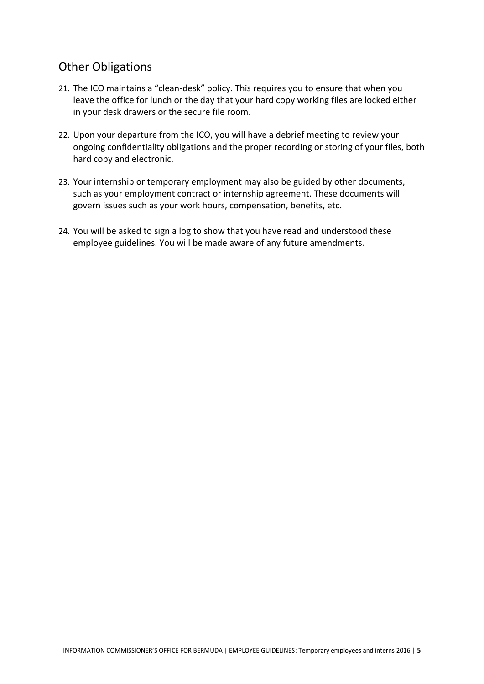# Other Obligations

- 21. The ICO maintains a "clean-desk" policy. This requires you to ensure that when you leave the office for lunch or the day that your hard copy working files are locked either in your desk drawers or the secure file room.
- 22. Upon your departure from the ICO, you will have a debrief meeting to review your ongoing confidentiality obligations and the proper recording or storing of your files, both hard copy and electronic.
- 23. Your internship or temporary employment may also be guided by other documents, such as your employment contract or internship agreement. These documents will govern issues such as your work hours, compensation, benefits, etc.
- 24. You will be asked to sign a log to show that you have read and understood these employee guidelines. You will be made aware of any future amendments.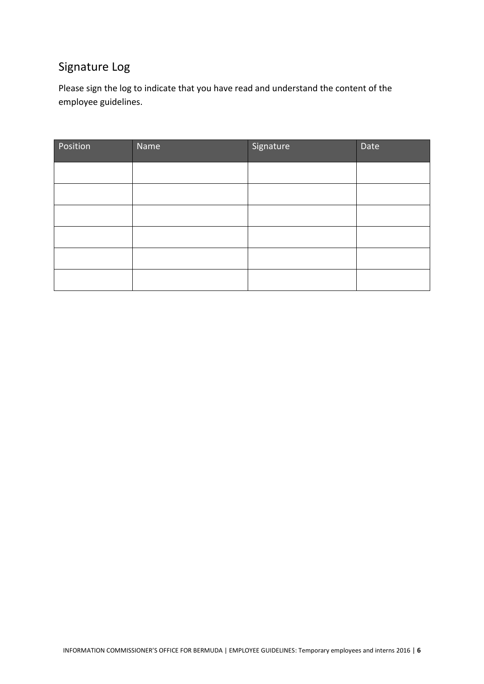# Signature Log

Please sign the log to indicate that you have read and understand the content of the employee guidelines.

| Position | Name | Signature | Date |
|----------|------|-----------|------|
|          |      |           |      |
|          |      |           |      |
|          |      |           |      |
|          |      |           |      |
|          |      |           |      |
|          |      |           |      |